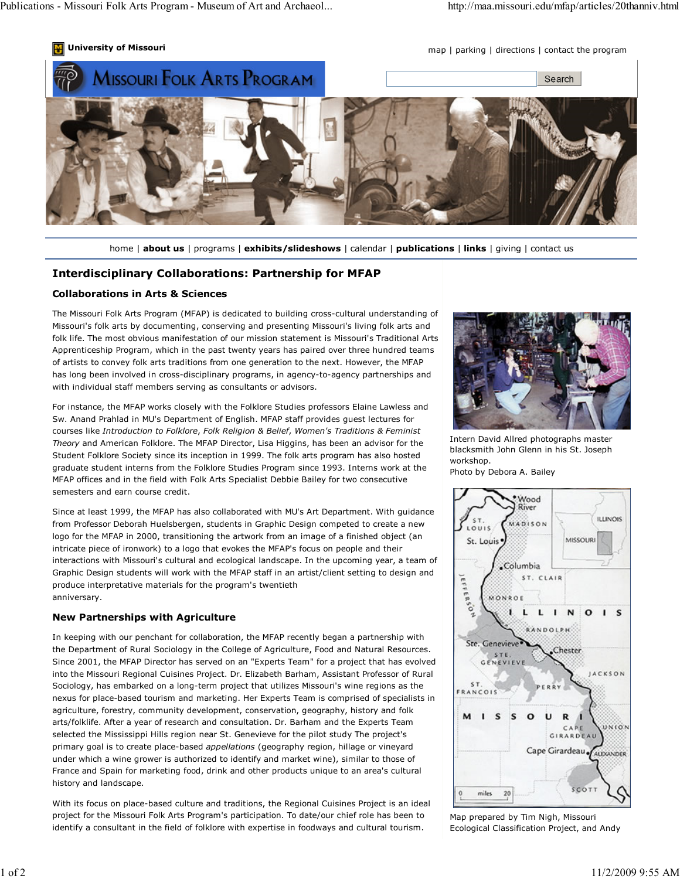



home | about us | programs | exhibits/slideshows | calendar | publications | links | giving | contact us

## Interdisciplinary Collaborations: Partnership for MFAP

## Collaborations in Arts & Sciences

The Missouri Folk Arts Program (MFAP) is dedicated to building cross-cultural understanding of Missouri's folk arts by documenting, conserving and presenting Missouri's living folk arts and folk life. The most obvious manifestation of our mission statement is Missouri's Traditional Arts Apprenticeship Program, which in the past twenty years has paired over three hundred teams of artists to convey folk arts traditions from one generation to the next. However, the MFAP has long been involved in cross-disciplinary programs, in agency-to-agency partnerships and with individual staff members serving as consultants or advisors.

For instance, the MFAP works closely with the Folklore Studies professors Elaine Lawless and Sw. Anand Prahlad in MU's Department of English. MFAP staff provides guest lectures for courses like Introduction to Folklore, Folk Religion & Belief, Women's Traditions & Feminist Theory and American Folklore. The MFAP Director, Lisa Higgins, has been an advisor for the Student Folklore Society since its inception in 1999. The folk arts program has also hosted graduate student interns from the Folklore Studies Program since 1993. Interns work at the MFAP offices and in the field with Folk Arts Specialist Debbie Bailey for two consecutive semesters and earn course credit.

Since at least 1999, the MFAP has also collaborated with MU's Art Department. With guidance from Professor Deborah Huelsbergen, students in Graphic Design competed to create a new logo for the MFAP in 2000, transitioning the artwork from an image of a finished object (an intricate piece of ironwork) to a logo that evokes the MFAP's focus on people and their interactions with Missouri's cultural and ecological landscape. In the upcoming year, a team of Graphic Design students will work with the MFAP staff in an artist/client setting to design and produce interpretative materials for the program's twentieth anniversary.

## New Partnerships with Agriculture

In keeping with our penchant for collaboration, the MFAP recently began a partnership with the Department of Rural Sociology in the College of Agriculture, Food and Natural Resources. Since 2001, the MFAP Director has served on an "Experts Team" for a project that has evolved into the Missouri Regional Cuisines Project. Dr. Elizabeth Barham, Assistant Professor of Rural Sociology, has embarked on a long-term project that utilizes Missouri's wine regions as the nexus for place-based tourism and marketing. Her Experts Team is comprised of specialists in agriculture, forestry, community development, conservation, geography, history and folk arts/folklife. After a year of research and consultation. Dr. Barham and the Experts Team selected the Mississippi Hills region near St. Genevieve for the pilot study The project's primary goal is to create place-based appellations (geography region, hillage or vineyard under which a wine grower is authorized to identify and market wine), similar to those of France and Spain for marketing food, drink and other products unique to an area's cultural history and landscape.

With its focus on place-based culture and traditions, the Regional Cuisines Project is an ideal project for the Missouri Folk Arts Program's participation. To date/our chief role has been to identify a consultant in the field of folklore with expertise in foodways and cultural tourism.



Intern David Allred photographs master blacksmith John Glenn in his St. Joseph workshop. Photo by Debora A. Bailey



Map prepared by Tim Nigh, Missouri Ecological Classification Project, and Andy